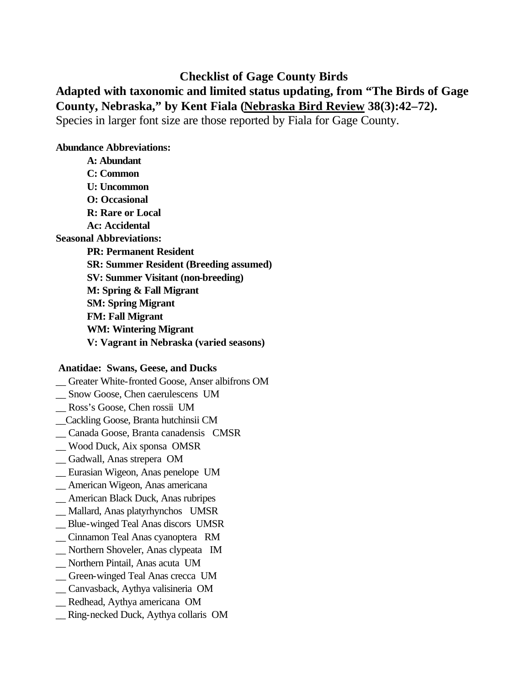## **Checklist of Gage County Birds**

# **Adapted with taxonomic and limited status updating, from "The Birds of Gage County, Nebraska," by Kent Fiala (Nebraska Bird Review 38(3):42–72).** Species in larger font size are those reported by Fiala for Gage County.

#### **Abundance Abbreviations:**

**A: Abundant C: Common U: Uncommon O: Occasional R: Rare or Local Ac: Accidental Seasonal Abbreviations: PR: Permanent Resident SR: Summer Resident (Breeding assumed) SV: Summer Visitant (non-breeding) M: Spring & Fall Migrant SM: Spring Migrant FM: Fall Migrant WM: Wintering Migrant V: Vagrant in Nebraska (varied seasons)**

#### **Anatidae: Swans, Geese, and Ducks**

\_\_ Greater White-fronted Goose, Anser albifrons OM

- \_\_ Snow Goose, Chen caerulescens UM
- \_\_ Ross's Goose, Chen rossii UM
- \_\_Cackling Goose, Branta hutchinsii CM
- \_\_ Canada Goose, Branta canadensis CMSR
- \_\_ Wood Duck, Aix sponsa OMSR
- \_\_ Gadwall, Anas strepera OM
- \_\_ Eurasian Wigeon, Anas penelope UM
- \_\_ American Wigeon, Anas americana
- \_\_ American Black Duck, Anas rubripes
- \_\_ Mallard, Anas platyrhynchos UMSR
- \_\_ Blue-winged Teal Anas discors UMSR
- \_\_ Cinnamon Teal Anas cyanoptera RM
- \_\_ Northern Shoveler, Anas clypeata IM
- \_\_ Northern Pintail, Anas acuta UM
- \_\_ Green-winged Teal Anas crecca UM
- \_\_ Canvasback, Aythya valisineria OM
- \_\_ Redhead, Aythya americana OM
- \_\_ Ring-necked Duck, Aythya collaris OM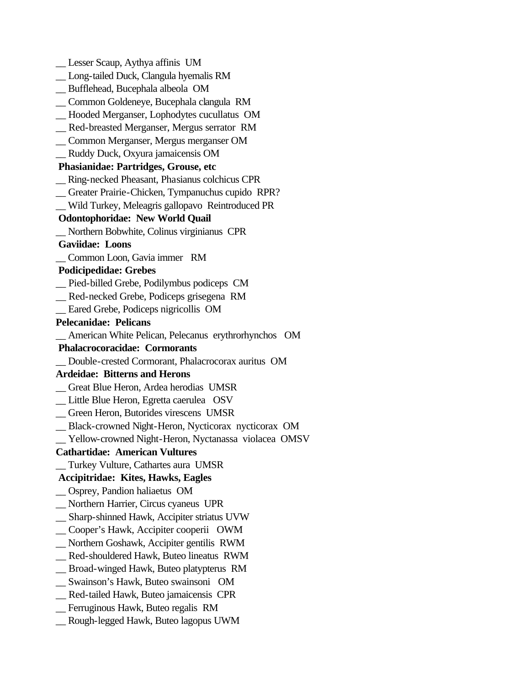\_\_ Lesser Scaup, Aythya affinis UM \_\_ Long-tailed Duck, Clangula hyemalis RM \_\_ Bufflehead, Bucephala albeola OM \_\_ Common Goldeneye, Bucephala clangula RM \_\_ Hooded Merganser, Lophodytes cucullatus OM \_\_ Red-breasted Merganser, Mergus serrator RM \_\_ Common Merganser, Mergus merganser OM \_\_ Ruddy Duck, Oxyura jamaicensis OM  **Phasianidae: Partridges, Grouse, etc** \_\_ Ring-necked Pheasant, Phasianus colchicus CPR \_\_ Greater Prairie-Chicken, Tympanuchus cupido RPR? \_\_ Wild Turkey, Meleagris gallopavo Reintroduced PR  **Odontophoridae: New World Quail** \_\_ Northern Bobwhite, Colinus virginianus CPR  **Gaviidae: Loons** \_\_ Common Loon, Gavia immer RM  **Podicipedidae: Grebes** \_\_ Pied-billed Grebe, Podilymbus podiceps CM \_\_ Red-necked Grebe, Podiceps grisegena RM \_\_ Eared Grebe, Podiceps nigricollis OM **Pelecanidae: Pelicans** \_\_ American White Pelican, Pelecanus erythrorhynchos OM  **Phalacrocoracidae: Cormorants** \_\_ Double-crested Cormorant, Phalacrocorax auritus OM **Ardeidae: Bitterns and Herons** \_\_ Great Blue Heron, Ardea herodias UMSR \_\_ Little Blue Heron, Egretta caerulea OSV \_\_ Green Heron, Butorides virescens UMSR \_\_ Black-crowned Night-Heron, Nycticorax nycticorax OM \_\_ Yellow-crowned Night-Heron, Nyctanassa violacea OMSV **Cathartidae: American Vultures** \_\_ Turkey Vulture, Cathartes aura UMSR  **Accipitridae: Kites, Hawks, Eagles** \_\_ Osprey, Pandion haliaetus OM \_\_ Northern Harrier, Circus cyaneus UPR \_\_ Sharp-shinned Hawk, Accipiter striatus UVW \_\_ Cooper's Hawk, Accipiter cooperii OWM \_\_ Northern Goshawk, Accipiter gentilis RWM \_\_ Red-shouldered Hawk, Buteo lineatus RWM \_\_ Broad-winged Hawk, Buteo platypterus RM \_\_ Swainson's Hawk, Buteo swainsoni OM \_\_ Red-tailed Hawk, Buteo jamaicensis CPR \_\_ Ferruginous Hawk, Buteo regalis RM \_\_ Rough-legged Hawk, Buteo lagopus UWM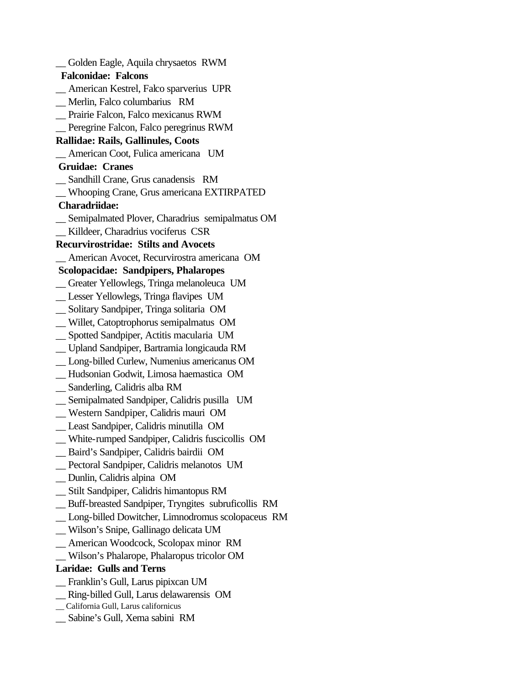\_\_ Golden Eagle, Aquila chrysaetos RWM  **Falconidae: Falcons** \_\_ American Kestrel, Falco sparverius UPR \_\_ Merlin, Falco columbarius RM \_\_ Prairie Falcon, Falco mexicanus RWM \_\_ Peregrine Falcon, Falco peregrinus RWM **Rallidae: Rails, Gallinules, Coots** \_\_ American Coot, Fulica americana UM  **Gruidae: Cranes** \_\_ Sandhill Crane, Grus canadensis RM \_\_ Whooping Crane, Grus americana EXTIRPATED  **Charadriidae:** \_\_ Semipalmated Plover, Charadrius semipalmatus OM \_\_ Killdeer, Charadrius vociferus CSR **Recurvirostridae: Stilts and Avocets** \_\_ American Avocet, Recurvirostra americana OM  **Scolopacidae: Sandpipers, Phalaropes** \_\_ Greater Yellowlegs, Tringa melanoleuca UM \_\_ Lesser Yellowlegs, Tringa flavipes UM \_\_ Solitary Sandpiper, Tringa solitaria OM \_\_ Willet, Catoptrophorus semipalmatus OM \_\_ Spotted Sandpiper, Actitis macularia UM \_\_ Upland Sandpiper, Bartramia longicauda RM \_\_ Long-billed Curlew, Numenius americanus OM \_\_ Hudsonian Godwit, Limosa haemastica OM \_\_ Sanderling, Calidris alba RM \_\_ Semipalmated Sandpiper, Calidris pusilla UM \_\_ Western Sandpiper, Calidris mauri OM \_\_ Least Sandpiper, Calidris minutilla OM \_\_ White-rumped Sandpiper, Calidris fuscicollis OM \_\_ Baird's Sandpiper, Calidris bairdii OM \_\_ Pectoral Sandpiper, Calidris melanotos UM \_\_ Dunlin, Calidris alpina OM \_\_ Stilt Sandpiper, Calidris himantopus RM \_\_ Buff-breasted Sandpiper, Tryngites subruficollis RM \_\_ Long-billed Dowitcher, Limnodromus scolopaceus RM \_\_ Wilson's Snipe, Gallinago delicata UM \_\_ American Woodcock, Scolopax minor RM \_\_ Wilson's Phalarope, Phalaropus tricolor OM **Laridae: Gulls and Terns** \_\_ Franklin's Gull, Larus pipixcan UM \_\_ Ring-billed Gull, Larus delawarensis OM \_\_ California Gull, Larus californicus \_\_ Sabine's Gull, Xema sabini RM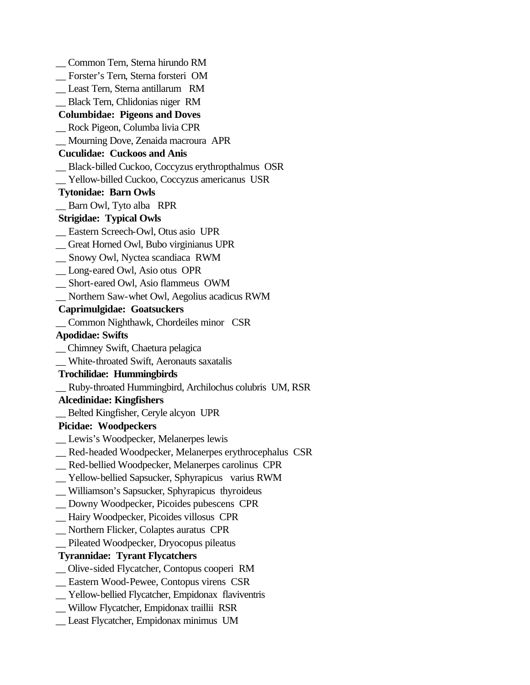\_\_ Common Tern, Sterna hirundo RM \_\_ Forster's Tern, Sterna forsteri OM \_\_ Least Tern, Sterna antillarum RM \_\_ Black Tern, Chlidonias niger RM  **Columbidae: Pigeons and Doves** \_\_ Rock Pigeon, Columba livia CPR \_\_ Mourning Dove, Zenaida macroura APR  **Cuculidae: Cuckoos and Anis** \_\_ Black-billed Cuckoo, Coccyzus erythropthalmus OSR \_\_ Yellow-billed Cuckoo, Coccyzus americanus USR  **Tytonidae: Barn Owls** \_\_ Barn Owl, Tyto alba RPR  **Strigidae: Typical Owls** \_\_ Eastern Screech-Owl, Otus asio UPR \_\_ Great Horned Owl, Bubo virginianus UPR \_\_ Snowy Owl, Nyctea scandiaca RWM \_\_ Long-eared Owl, Asio otus OPR \_\_ Short-eared Owl, Asio flammeus OWM \_\_ Northern Saw-whet Owl, Aegolius acadicus RWM  **Caprimulgidae: Goatsuckers** \_\_ Common Nighthawk, Chordeiles minor CSR **Apodidae: Swifts** \_\_ Chimney Swift, Chaetura pelagica \_\_ White-throated Swift, Aeronauts saxatalis  **Trochilidae: Hummingbirds** \_\_ Ruby-throated Hummingbird, Archilochus colubris UM, RSR  **Alcedinidae: Kingfishers** \_\_ Belted Kingfisher, Ceryle alcyon UPR  **Picidae: Woodpeckers** Lewis's Woodpecker, Melanerpes lewis \_\_ Red-headed Woodpecker, Melanerpes erythrocephalus CSR \_\_ Red-bellied Woodpecker, Melanerpes carolinus CPR \_\_ Yellow-bellied Sapsucker, Sphyrapicus varius RWM \_\_ Williamson's Sapsucker, Sphyrapicus thyroideus \_\_ Downy Woodpecker, Picoides pubescens CPR \_\_ Hairy Woodpecker, Picoides villosus CPR \_\_ Northern Flicker, Colaptes auratus CPR \_\_ Pileated Woodpecker, Dryocopus pileatus  **Tyrannidae: Tyrant Flycatchers** \_\_ Olive-sided Flycatcher, Contopus cooperi RM \_\_ Eastern Wood-Pewee, Contopus virens CSR \_\_ Yellow-bellied Flycatcher, Empidonax flaviventris \_\_ Willow Flycatcher, Empidonax traillii RSR \_\_ Least Flycatcher, Empidonax minimus UM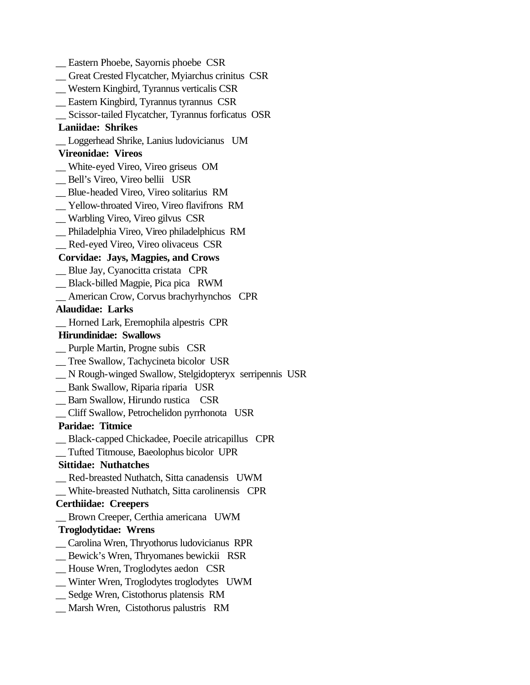\_\_ Eastern Phoebe, Sayornis phoebe CSR \_\_ Great Crested Flycatcher, Myiarchus crinitus CSR \_\_ Western Kingbird, Tyrannus verticalis CSR \_\_ Eastern Kingbird, Tyrannus tyrannus CSR \_\_ Scissor-tailed Flycatcher, Tyrannus forficatus OSR  **Laniidae: Shrikes** \_\_ Loggerhead Shrike, Lanius ludovicianus UM  **Vireonidae: Vireos** \_\_ White-eyed Vireo, Vireo griseus OM \_\_ Bell's Vireo, Vireo bellii USR \_\_ Blue-headed Vireo, Vireo solitarius RM \_\_ Yellow-throated Vireo, Vireo flavifrons RM \_\_ Warbling Vireo, Vireo gilvus CSR \_\_ Philadelphia Vireo, Vireo philadelphicus RM \_\_ Red-eyed Vireo, Vireo olivaceus CSR  **Corvidae: Jays, Magpies, and Crows** \_\_ Blue Jay, Cyanocitta cristata CPR \_\_ Black-billed Magpie, Pica pica RWM \_\_ American Crow, Corvus brachyrhynchos CPR **Alaudidae: Larks** \_\_ Horned Lark, Eremophila alpestris CPR  **Hirundinidae: Swallows** \_\_ Purple Martin, Progne subis CSR \_\_ Tree Swallow, Tachycineta bicolor USR \_\_ N Rough-winged Swallow, Stelgidopteryx serripennis USR \_\_ Bank Swallow, Riparia riparia USR \_\_ Barn Swallow, Hirundo rustica CSR \_\_ Cliff Swallow, Petrochelidon pyrrhonota USR  **Paridae: Titmice** \_\_ Black-capped Chickadee, Poecile atricapillus CPR \_\_ Tufted Titmouse, Baeolophus bicolor UPR  **Sittidae: Nuthatches** \_\_ Red-breasted Nuthatch, Sitta canadensis UWM \_\_ White-breasted Nuthatch, Sitta carolinensis CPR **Certhiidae: Creepers** \_\_ Brown Creeper, Certhia americana UWM  **Troglodytidae: Wrens** \_\_ Carolina Wren, Thryothorus ludovicianus RPR \_\_ Bewick's Wren, Thryomanes bewickii RSR \_\_ House Wren, Troglodytes aedon CSR \_\_ Winter Wren, Troglodytes troglodytes UWM \_\_ Sedge Wren, Cistothorus platensis RM \_\_ Marsh Wren, Cistothorus palustris RM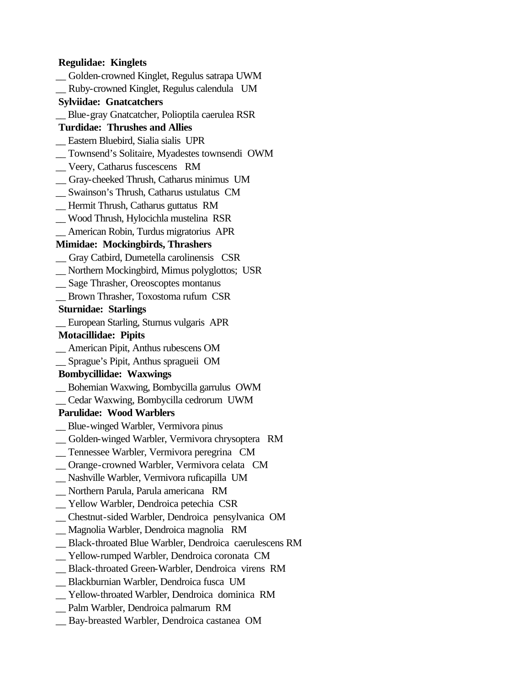#### **Regulidae: Kinglets**

- \_\_ Golden-crowned Kinglet, Regulus satrapa UWM
- \_\_ Ruby-crowned Kinglet, Regulus calendula UM
- **Sylviidae: Gnatcatchers**
- \_\_ Blue-gray Gnatcatcher, Polioptila caerulea RSR

## **Turdidae: Thrushes and Allies**

- \_\_ Eastern Bluebird, Sialia sialis UPR
- \_\_ Townsend's Solitaire, Myadestes townsendi OWM
- \_\_ Veery, Catharus fuscescens RM
- \_\_ Gray-cheeked Thrush, Catharus minimus UM
- \_\_ Swainson's Thrush, Catharus ustulatus CM
- \_\_ Hermit Thrush, Catharus guttatus RM
- \_\_ Wood Thrush, Hylocichla mustelina RSR
- \_\_ American Robin, Turdus migratorius APR

## **Mimidae: Mockingbirds, Thrashers**

- \_\_ Gray Catbird, Dumetella carolinensis CSR
- \_\_ Northern Mockingbird, Mimus polyglottos; USR
- \_\_ Sage Thrasher, Oreoscoptes montanus
- \_\_ Brown Thrasher, Toxostoma rufum CSR

### **Sturnidae: Starlings**

\_\_ European Starling, Sturnus vulgaris APR

### **Motacillidae: Pipits**

- \_\_ American Pipit, Anthus rubescens OM
- \_\_ Sprague's Pipit, Anthus spragueii OM

## **Bombycillidae: Waxwings**

- \_\_ Bohemian Waxwing, Bombycilla garrulus OWM
- \_\_ Cedar Waxwing, Bombycilla cedrorum UWM

## **Parulidae: Wood Warblers**

- \_\_ Blue-winged Warbler, Vermivora pinus
- \_\_ Golden-winged Warbler, Vermivora chrysoptera RM
- \_\_ Tennessee Warbler, Vermivora peregrina CM
- \_\_ Orange-crowned Warbler, Vermivora celata CM
- \_\_ Nashville Warbler, Vermivora ruficapilla UM
- \_\_ Northern Parula, Parula americana RM
- \_\_ Yellow Warbler, Dendroica petechia CSR
- \_\_ Chestnut-sided Warbler, Dendroica pensylvanica OM
- \_\_ Magnolia Warbler, Dendroica magnolia RM
- \_\_ Black-throated Blue Warbler, Dendroica caerulescens RM
- \_\_ Yellow-rumped Warbler, Dendroica coronata CM
- \_\_ Black-throated Green-Warbler, Dendroica virens RM
- \_\_ Blackburnian Warbler, Dendroica fusca UM
- \_\_ Yellow-throated Warbler, Dendroica dominica RM
- \_\_ Palm Warbler, Dendroica palmarum RM
- \_\_ Bay-breasted Warbler, Dendroica castanea OM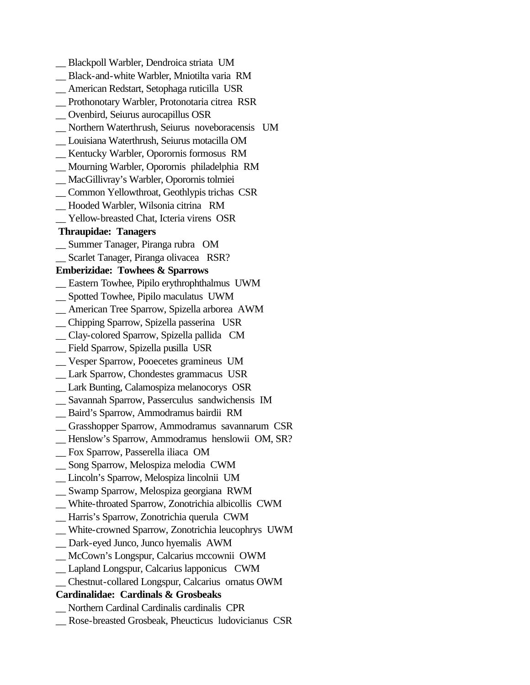\_\_ Blackpoll Warbler, Dendroica striata UM \_\_ Black-and-white Warbler, Mniotilta varia RM \_\_ American Redstart, Setophaga ruticilla USR \_\_ Prothonotary Warbler, Protonotaria citrea RSR \_\_ Ovenbird, Seiurus aurocapillus OSR \_\_ Northern Waterthrush, Seiurus noveboracensis UM \_\_ Louisiana Waterthrush, Seiurus motacilla OM \_\_ Kentucky Warbler, Oporornis formosus RM \_\_ Mourning Warbler, Oporornis philadelphia RM \_\_ MacGillivray's Warbler, Oporornis tolmiei \_\_ Common Yellowthroat, Geothlypis trichas CSR \_\_ Hooded Warbler, Wilsonia citrina RM \_\_ Yellow-breasted Chat, Icteria virens OSR  **Thraupidae: Tanagers** \_\_ Summer Tanager, Piranga rubra OM \_\_ Scarlet Tanager, Piranga olivacea RSR? **Emberizidae: Towhees & Sparrows** \_\_ Eastern Towhee, Pipilo erythrophthalmus UWM \_\_ Spotted Towhee, Pipilo maculatus UWM \_\_ American Tree Sparrow, Spizella arborea AWM \_\_ Chipping Sparrow, Spizella passerina USR \_\_ Clay-colored Sparrow, Spizella pallida CM \_\_ Field Sparrow, Spizella pusilla USR \_\_ Vesper Sparrow, Pooecetes gramineus UM \_\_ Lark Sparrow, Chondestes grammacus USR \_\_ Lark Bunting, Calamospiza melanocorys OSR \_\_ Savannah Sparrow, Passerculus sandwichensis IM \_\_ Baird's Sparrow, Ammodramus bairdii RM \_\_ Grasshopper Sparrow, Ammodramus savannarum CSR \_\_ Henslow's Sparrow, Ammodramus henslowii OM, SR? \_\_ Fox Sparrow, Passerella iliaca OM \_\_ Song Sparrow, Melospiza melodia CWM \_\_ Lincoln's Sparrow, Melospiza lincolnii UM \_\_ Swamp Sparrow, Melospiza georgiana RWM \_\_ White-throated Sparrow, Zonotrichia albicollis CWM \_\_ Harris's Sparrow, Zonotrichia querula CWM \_\_ White-crowned Sparrow, Zonotrichia leucophrys UWM \_\_ Dark-eyed Junco, Junco hyemalis AWM \_\_ McCown's Longspur, Calcarius mccownii OWM \_\_ Lapland Longspur, Calcarius lapponicus CWM \_\_ Chestnut-collared Longspur, Calcarius ornatus OWM **Cardinalidae: Cardinals & Grosbeaks** \_\_ Northern Cardinal Cardinalis cardinalis CPR \_\_ Rose-breasted Grosbeak, Pheucticus ludovicianus CSR